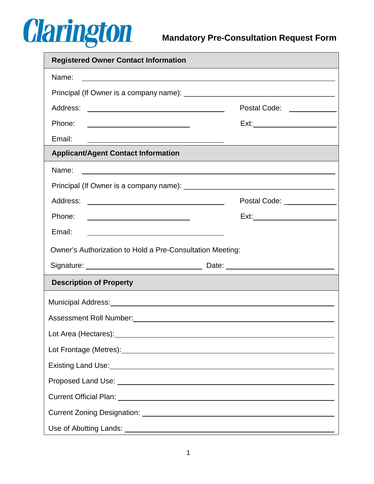

| <b>Registered Owner Contact Information</b>                                                                                                                                                                                    |                                                             |  |  |  |
|--------------------------------------------------------------------------------------------------------------------------------------------------------------------------------------------------------------------------------|-------------------------------------------------------------|--|--|--|
| Name:<br><u> 1989 - Johann Stoff, amerikansk politiker (* 1908)</u>                                                                                                                                                            |                                                             |  |  |  |
|                                                                                                                                                                                                                                |                                                             |  |  |  |
| Address:<br><u> 1989 - Johann Barbara, martin amerikan basar da</u>                                                                                                                                                            | Postal Code: \\square\\square\                              |  |  |  |
| Phone:<br><u> 1989 - Johann Stoff, Amerikaansk politiker (</u>                                                                                                                                                                 |                                                             |  |  |  |
| Email:                                                                                                                                                                                                                         |                                                             |  |  |  |
| <b>Applicant/Agent Contact Information</b>                                                                                                                                                                                     |                                                             |  |  |  |
| Name:                                                                                                                                                                                                                          | <u> 1989 - Johann Stoff, amerikansk politiker (d. 1989)</u> |  |  |  |
|                                                                                                                                                                                                                                |                                                             |  |  |  |
| Address:<br><u> 1989 - Johann Barn, mars et al. (b. 1989)</u>                                                                                                                                                                  | Postal Code: ________________                               |  |  |  |
| Phone:                                                                                                                                                                                                                         |                                                             |  |  |  |
| Email:                                                                                                                                                                                                                         |                                                             |  |  |  |
| Owner's Authorization to Hold a Pre-Consultation Meeting:                                                                                                                                                                      |                                                             |  |  |  |
|                                                                                                                                                                                                                                |                                                             |  |  |  |
| <b>Description of Property</b>                                                                                                                                                                                                 |                                                             |  |  |  |
| Municipal Address: Municipal Address: Municipal Address: Municipal Address: Municipal Address: Municipal Address: Municipal Address: Municipal Address: Municipal Address: Municipal Address: Municipal Address: Municipal Add |                                                             |  |  |  |
|                                                                                                                                                                                                                                |                                                             |  |  |  |
|                                                                                                                                                                                                                                |                                                             |  |  |  |
|                                                                                                                                                                                                                                |                                                             |  |  |  |
| Existing Land Use: <u>contract the contract of the contract of the contract of the contract of the contract of</u>                                                                                                             |                                                             |  |  |  |
|                                                                                                                                                                                                                                |                                                             |  |  |  |
|                                                                                                                                                                                                                                |                                                             |  |  |  |
|                                                                                                                                                                                                                                |                                                             |  |  |  |
|                                                                                                                                                                                                                                |                                                             |  |  |  |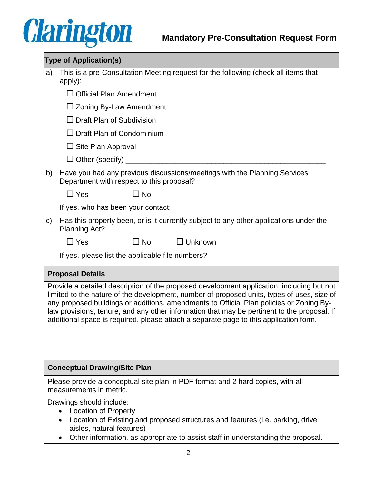## **Clarington**

| <b>Type of Application(s)</b>                                                                                                                                                                                                                                                                                                                                                                                                                                              |                                                                                                                        |                           |                                                                                                                                                                    |  |
|----------------------------------------------------------------------------------------------------------------------------------------------------------------------------------------------------------------------------------------------------------------------------------------------------------------------------------------------------------------------------------------------------------------------------------------------------------------------------|------------------------------------------------------------------------------------------------------------------------|---------------------------|--------------------------------------------------------------------------------------------------------------------------------------------------------------------|--|
| a)                                                                                                                                                                                                                                                                                                                                                                                                                                                                         | This is a pre-Consultation Meeting request for the following (check all items that<br>apply):                          |                           |                                                                                                                                                                    |  |
|                                                                                                                                                                                                                                                                                                                                                                                                                                                                            | $\Box$ Official Plan Amendment                                                                                         |                           |                                                                                                                                                                    |  |
|                                                                                                                                                                                                                                                                                                                                                                                                                                                                            | $\Box$ Zoning By-Law Amendment                                                                                         |                           |                                                                                                                                                                    |  |
|                                                                                                                                                                                                                                                                                                                                                                                                                                                                            | $\Box$ Draft Plan of Subdivision                                                                                       |                           |                                                                                                                                                                    |  |
|                                                                                                                                                                                                                                                                                                                                                                                                                                                                            | $\Box$ Draft Plan of Condominium                                                                                       |                           |                                                                                                                                                                    |  |
|                                                                                                                                                                                                                                                                                                                                                                                                                                                                            | $\Box$ Site Plan Approval                                                                                              |                           |                                                                                                                                                                    |  |
|                                                                                                                                                                                                                                                                                                                                                                                                                                                                            |                                                                                                                        |                           |                                                                                                                                                                    |  |
| b)                                                                                                                                                                                                                                                                                                                                                                                                                                                                         | Have you had any previous discussions/meetings with the Planning Services<br>Department with respect to this proposal? |                           |                                                                                                                                                                    |  |
|                                                                                                                                                                                                                                                                                                                                                                                                                                                                            | $\Box$ Yes                                                                                                             | $\square$ No              |                                                                                                                                                                    |  |
|                                                                                                                                                                                                                                                                                                                                                                                                                                                                            |                                                                                                                        |                           |                                                                                                                                                                    |  |
| C)                                                                                                                                                                                                                                                                                                                                                                                                                                                                         | Planning Act?                                                                                                          |                           | Has this property been, or is it currently subject to any other applications under the                                                                             |  |
|                                                                                                                                                                                                                                                                                                                                                                                                                                                                            | $\Box$ Yes                                                                                                             | $\square$ No              | $\Box$ Unknown                                                                                                                                                     |  |
|                                                                                                                                                                                                                                                                                                                                                                                                                                                                            |                                                                                                                        |                           | If yes, please list the applicable file numbers?________________________________                                                                                   |  |
| <b>Proposal Details</b>                                                                                                                                                                                                                                                                                                                                                                                                                                                    |                                                                                                                        |                           |                                                                                                                                                                    |  |
| Provide a detailed description of the proposed development application; including but not<br>limited to the nature of the development, number of proposed units, types of uses, size of<br>any proposed buildings or additions, amendments to Official Plan policies or Zoning By-<br>law provisions, tenure, and any other information that may be pertinent to the proposal. If<br>additional space is required, please attach a separate page to this application form. |                                                                                                                        |                           |                                                                                                                                                                    |  |
| <b>Conceptual Drawing/Site Plan</b>                                                                                                                                                                                                                                                                                                                                                                                                                                        |                                                                                                                        |                           |                                                                                                                                                                    |  |
|                                                                                                                                                                                                                                                                                                                                                                                                                                                                            | measurements in metric.                                                                                                |                           | Please provide a conceptual site plan in PDF format and 2 hard copies, with all                                                                                    |  |
|                                                                                                                                                                                                                                                                                                                                                                                                                                                                            | Drawings should include:<br><b>Location of Property</b>                                                                | aisles, natural features) | Location of Existing and proposed structures and features (i.e. parking, drive<br>Other information, as appropriate to assist staff in understanding the proposal. |  |